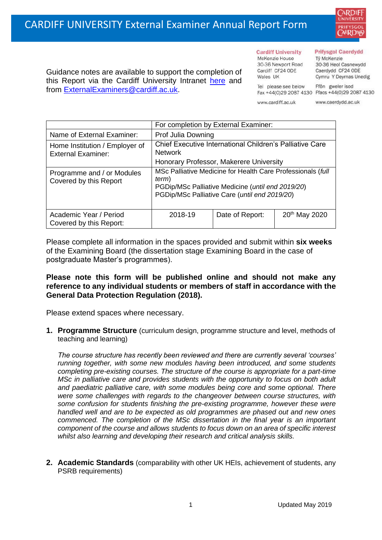

**Cardiff University** McKenzie House 30-36 Newport Road Cardiff CF24 ODE

Wales IIK

#### **Prifysgol Caerdydd**

Từ McKenzie 30-36 Heol Casnewydd Caerdydd CF24 ODE Cymru Y Deyrnas Unedig

Ffôn gweler isod Fax +44(0)29 2087 4130 Ffacs +44(0)29 2087 4130

Tel please see below www.cardiff.ac.uk

www.caerdydd.ac.uk

Guidance notes are available to support the completion of this Report via the Cardiff University Intranet [here](https://intranet.cardiff.ac.uk/staff/teaching-and-supporting-students/exams-and-assessment/exam-boards-and-external-examiners/for-current-external-examiners/external-examiners-reports) and from [ExternalExaminers@cardiff.ac.uk.](mailto:ExternalExaminers@cardiff.ac.uk)

|                                                             | For completion by External Examiner:                                                                                                                                       |                 |                           |  |  |
|-------------------------------------------------------------|----------------------------------------------------------------------------------------------------------------------------------------------------------------------------|-----------------|---------------------------|--|--|
| Name of External Examiner:                                  | Prof Julia Downing                                                                                                                                                         |                 |                           |  |  |
| Home Institution / Employer of<br><b>External Examiner:</b> | Chief Executive International Children's Palliative Care<br><b>Network</b>                                                                                                 |                 |                           |  |  |
|                                                             | Honorary Professor, Makerere University                                                                                                                                    |                 |                           |  |  |
| Programme and / or Modules<br>Covered by this Report        | MSc Palliative Medicine for Health Care Professionals (full<br>term)<br>PGDip/MSc Palliative Medicine (until end 2019/20)<br>PGDip/MSc Palliative Care (until end 2019/20) |                 |                           |  |  |
| Academic Year / Period<br>Covered by this Report:           | 2018-19                                                                                                                                                                    | Date of Report: | 20 <sup>th</sup> May 2020 |  |  |

Please complete all information in the spaces provided and submit within **six weeks** of the Examining Board (the dissertation stage Examining Board in the case of postgraduate Master's programmes).

## **Please note this form will be published online and should not make any reference to any individual students or members of staff in accordance with the General Data Protection Regulation (2018).**

Please extend spaces where necessary.

**1. Programme Structure** (curriculum design, programme structure and level, methods of teaching and learning)

*The course structure has recently been reviewed and there are currently several 'courses' running together, with some new modules having been introduced, and some students completing pre-existing courses. The structure of the course is appropriate for a part-time MSc in palliative care and provides students with the opportunity to focus on both adult and paediatric palliative care, with some modules being core and some optional. There were some challenges with regards to the changeover between course structures, with some confusion for students finishing the pre-existing programme, however these were handled well and are to be expected as old programmes are phased out and new ones commenced. The completion of the MSc dissertation in the final year is an important component of the course and allows students to focus down on an area of specific interest whilst also learning and developing their research and critical analysis skills.* 

**2. Academic Standards** (comparability with other UK HEIs, achievement of students, any PSRB requirements)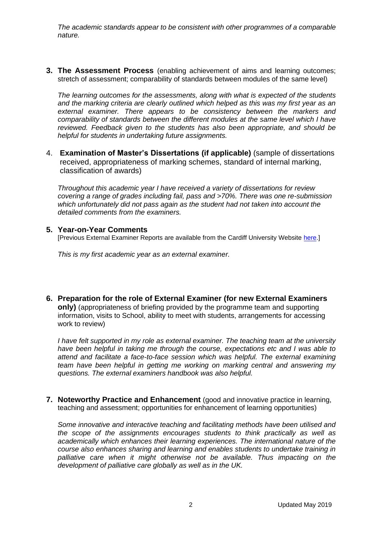*The academic standards appear to be consistent with other programmes of a comparable nature.*

**3. The Assessment Process** (enabling achievement of aims and learning outcomes; stretch of assessment; comparability of standards between modules of the same level)

*The learning outcomes for the assessments, along with what is expected of the students and the marking criteria are clearly outlined which helped as this was my first year as an external examiner. There appears to be consistency between the markers and comparability of standards between the different modules at the same level which I have reviewed. Feedback given to the students has also been appropriate, and should be helpful for students in undertaking future assignments.* 

4. **Examination of Master's Dissertations (if applicable)** (sample of dissertations received, appropriateness of marking schemes, standard of internal marking, classification of awards)

*Throughout this academic year I have received a variety of dissertations for review covering a range of grades including fail, pass and >70%. There was one re-submission which unfortunately did not pass again as the student had not taken into account the detailed comments from the examiners.*

### **5. Year-on-Year Comments**

[Previous External Examiner Reports are available from the Cardiff University Website [here.](https://www.cardiff.ac.uk/public-information/quality-and-standards/external-examiner-reports)]

*This is my first academic year as an external examiner.*

**6. Preparation for the role of External Examiner (for new External Examiners only)** (appropriateness of briefing provided by the programme team and supporting information, visits to School, ability to meet with students, arrangements for accessing work to review)

*I have felt supported in my role as external examiner. The teaching team at the university have been helpful in taking me through the course, expectations etc and I was able to attend and facilitate a face-to-face session which was helpful. The external examining team have been helpful in getting me working on marking central and answering my questions. The external examiners handbook was also helpful.*

**7. Noteworthy Practice and Enhancement** (good and innovative practice in learning, teaching and assessment; opportunities for enhancement of learning opportunities)

*Some innovative and interactive teaching and facilitating methods have been utilised and the scope of the assignments encourages students to think practically as well as academically which enhances their learning experiences. The international nature of the course also enhances sharing and learning and enables students to undertake training in palliative care when it might otherwise not be available. Thus impacting on the development of palliative care globally as well as in the UK.*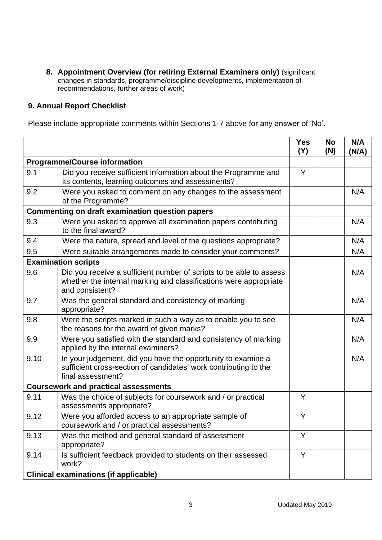**8. Appointment Overview (for retiring External Examiners only)** (significant changes in standards, programme/discipline developments, implementation of recommendations, further areas of work)

# **9. Annual Report Checklist**

Please include appropriate comments within Sections 1-7 above for any answer of 'No'.

|                                                        |                                                                                                                                                             | <b>Yes</b><br>(Y) | <b>No</b><br>(N) | N/A<br>(N/A) |  |
|--------------------------------------------------------|-------------------------------------------------------------------------------------------------------------------------------------------------------------|-------------------|------------------|--------------|--|
|                                                        | <b>Programme/Course information</b>                                                                                                                         |                   |                  |              |  |
| 9.1                                                    | Did you receive sufficient information about the Programme and<br>its contents, learning outcomes and assessments?                                          | Y                 |                  |              |  |
| 9.2                                                    | Were you asked to comment on any changes to the assessment<br>of the Programme?                                                                             |                   |                  | N/A          |  |
| <b>Commenting on draft examination question papers</b> |                                                                                                                                                             |                   |                  |              |  |
| 9.3                                                    | Were you asked to approve all examination papers contributing<br>to the final award?                                                                        |                   |                  | N/A          |  |
| 9.4                                                    | Were the nature, spread and level of the questions appropriate?                                                                                             |                   |                  | N/A          |  |
| 9.5                                                    | Were suitable arrangements made to consider your comments?                                                                                                  |                   |                  | N/A          |  |
|                                                        | <b>Examination scripts</b>                                                                                                                                  |                   |                  |              |  |
| 9.6                                                    | Did you receive a sufficient number of scripts to be able to assess<br>whether the internal marking and classifications were appropriate<br>and consistent? |                   |                  | N/A          |  |
| 9.7                                                    | Was the general standard and consistency of marking<br>appropriate?                                                                                         |                   |                  | N/A          |  |
| 9.8                                                    | Were the scripts marked in such a way as to enable you to see<br>the reasons for the award of given marks?                                                  |                   |                  | N/A          |  |
| 9.9                                                    | Were you satisfied with the standard and consistency of marking<br>applied by the internal examiners?                                                       |                   |                  | N/A          |  |
| 9.10                                                   | In your judgement, did you have the opportunity to examine a<br>sufficient cross-section of candidates' work contributing to the<br>final assessment?       |                   |                  | N/A          |  |
|                                                        | <b>Coursework and practical assessments</b>                                                                                                                 |                   |                  |              |  |
| 9.11                                                   | Was the choice of subjects for coursework and / or practical<br>assessments appropriate?                                                                    | Y                 |                  |              |  |
| 9.12                                                   | Were you afforded access to an appropriate sample of<br>coursework and / or practical assessments?                                                          | Y                 |                  |              |  |
| 9.13                                                   | Was the method and general standard of assessment<br>appropriate?                                                                                           | Y                 |                  |              |  |
| 9.14                                                   | Is sufficient feedback provided to students on their assessed<br>work?                                                                                      | Y                 |                  |              |  |
|                                                        | <b>Clinical examinations (if applicable)</b>                                                                                                                |                   |                  |              |  |